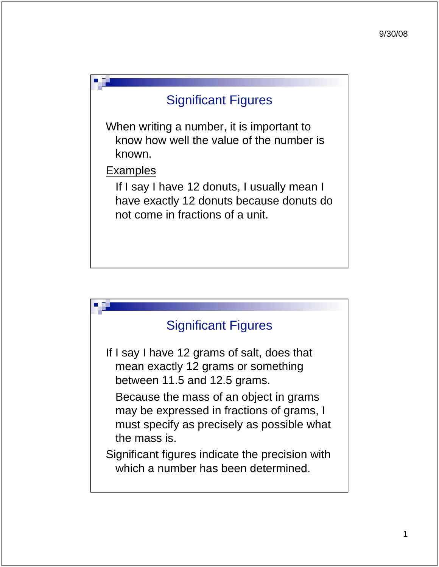

When writing a number, it is important to know how well the value of the number is known.

Examples

 If I say I have 12 donuts, I usually mean I have exactly 12 donuts because donuts do not come in fractions of a unit.

#### Significant Figures

If I say I have 12 grams of salt, does that mean exactly 12 grams or something between 11.5 and 12.5 grams.

 Because the mass of an object in grams may be expressed in fractions of grams, I must specify as precisely as possible what the mass is.

Significant figures indicate the precision with which a number has been determined.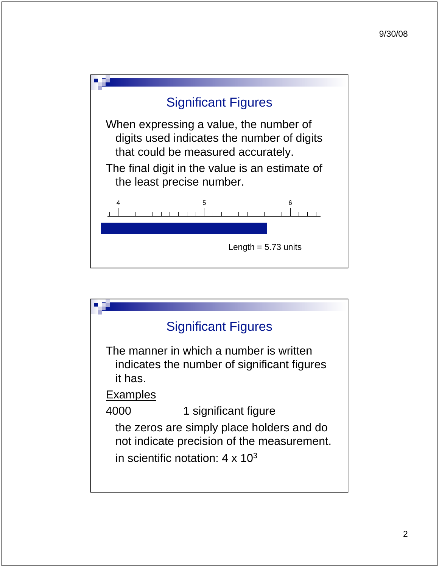

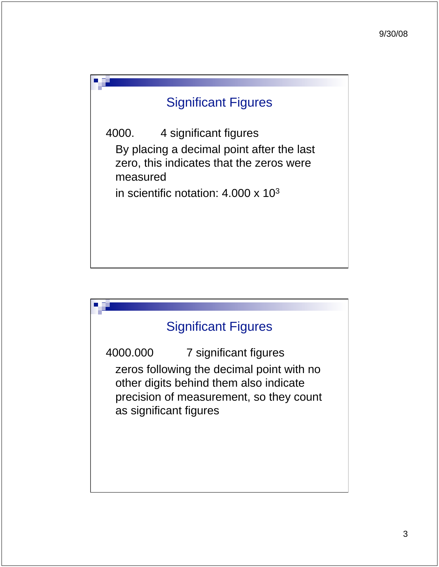# Significant Figures

4000. 4 significant figures By placing a decimal point after the last zero, this indicates that the zeros were measured

in scientific notation: 4.000 x 103

# Significant Figures

4000.000 7 significant figures zeros following the decimal point with no other digits behind them also indicate precision of measurement, so they count as significant figures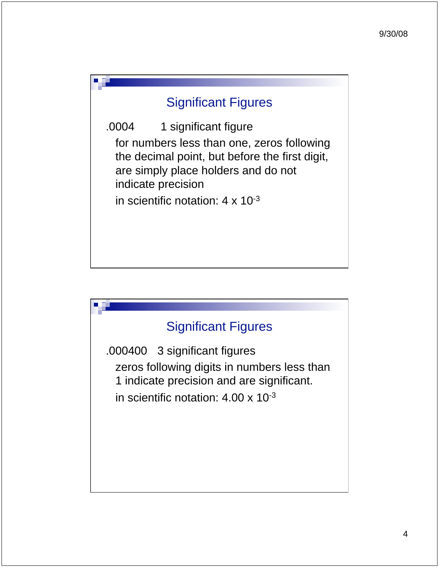### Significant Figures

.0004 1 significant figure for numbers less than one, zeros following the decimal point, but before the first digit, are simply place holders and do not indicate precision in scientific notation:  $4 \times 10^{-3}$ 

# Significant Figures

.000400 3 significant figures zeros following digits in numbers less than 1 indicate precision and are significant. in scientific notation: 4.00 x 10-3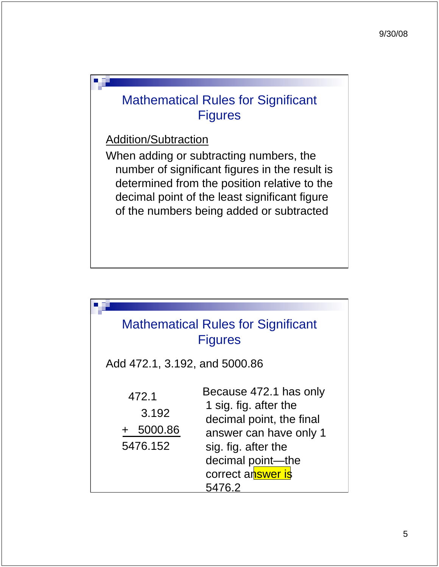# Mathematical Rules for Significant **Figures**

Addition/Subtraction

When adding or subtracting numbers, the number of significant figures in the result is determined from the position relative to the decimal point of the least significant figure of the numbers being added or subtracted

| <b>Mathematical Rules for Significant</b><br><b>Figures</b> |                                                                                                                                                                                  |
|-------------------------------------------------------------|----------------------------------------------------------------------------------------------------------------------------------------------------------------------------------|
| Add 472.1, 3.192, and 5000.86                               |                                                                                                                                                                                  |
| 472.1<br>3.192<br>5000.86<br>5476.152                       | Because 472.1 has only<br>1 sig. fig. after the<br>decimal point, the final<br>answer can have only 1<br>sig. fig. after the<br>decimal point-the<br>correct answer is<br>5476.2 |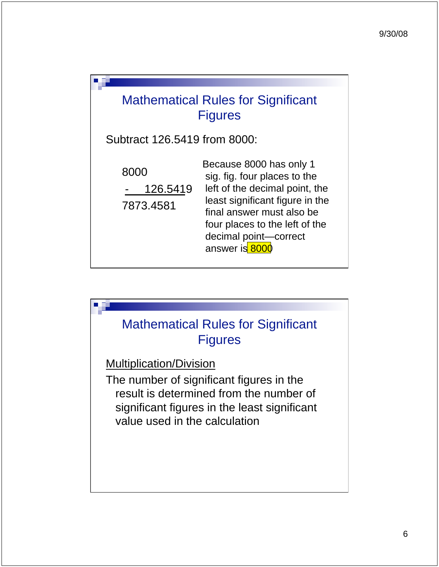

Subtract 126.5419 from 8000:

 8000 - 126.5419 7873.4581

Because 8000 has only 1 sig. fig. four places to the left of the decimal point, the least significant figure in the final answer must also be four places to the left of the decimal point—correct answer is 8000

# Mathematical Rules for Significant Figures

Multiplication/Division

The number of significant figures in the result is determined from the number of significant figures in the least significant value used in the calculation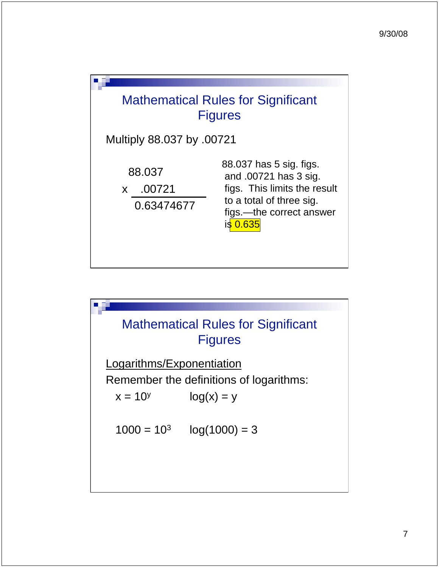

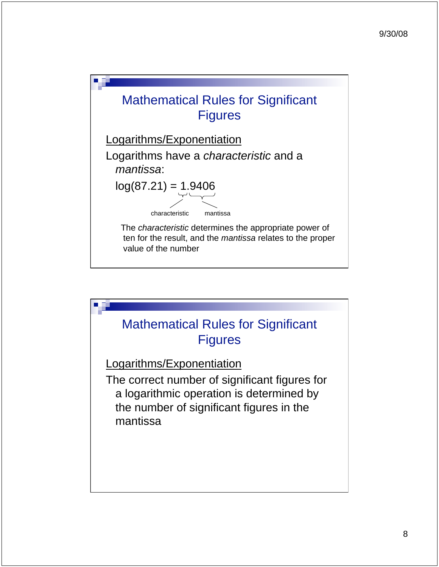

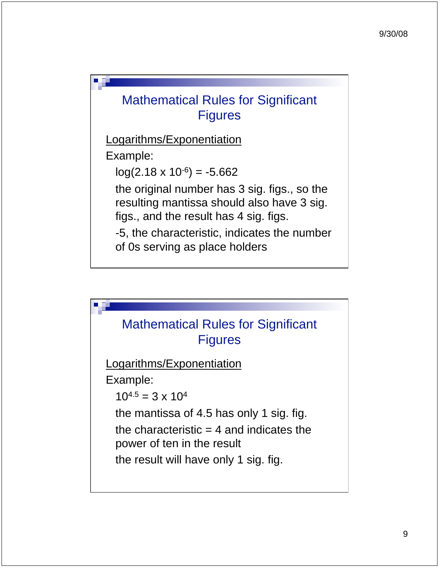# Mathematical Rules for Significant **Figures**

Logarithms/Exponentiation

Example:

 $log(2.18 \times 10^{-6}) = -5.662$ 

 the original number has 3 sig. figs., so the resulting mantissa should also have 3 sig. figs., and the result has 4 sig. figs.

 -5, the characteristic, indicates the number of 0s serving as place holders

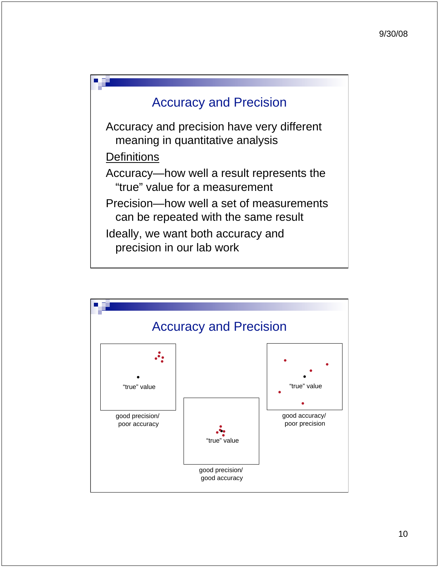

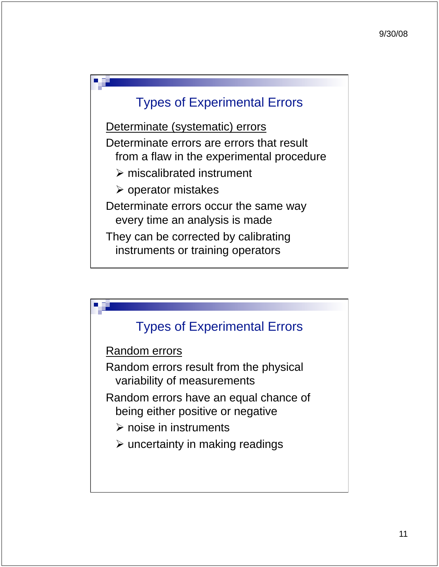### Types of Experimental Errors

Determinate (systematic) errors Determinate errors are errors that result from a flaw in the experimental procedure - miscalibrated instrument - operator mistakes Determinate errors occur the same way every time an analysis is made They can be corrected by calibrating instruments or training operators

### Types of Experimental Errors

Random errors

Random errors result from the physical variability of measurements

Random errors have an equal chance of being either positive or negative

- $\triangleright$  noise in instruments
- $\triangleright$  uncertainty in making readings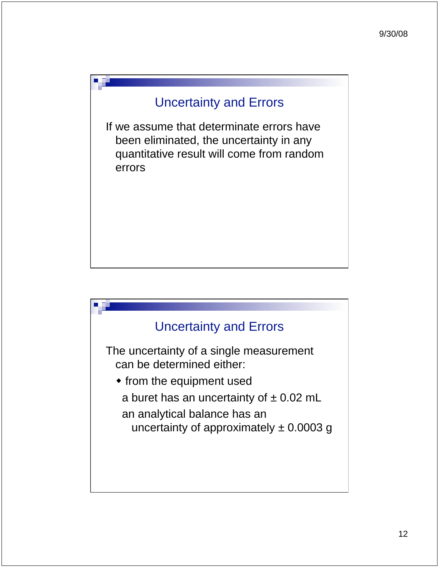If we assume that determinate errors have been eliminated, the uncertainty in any quantitative result will come from random errors

#### Uncertainty and Errors

The uncertainty of a single measurement can be determined either:

- from the equipment used
	- a buret has an uncertainty of  $\pm$  0.02 mL
	- an analytical balance has an uncertainty of approximately  $\pm$  0.0003 g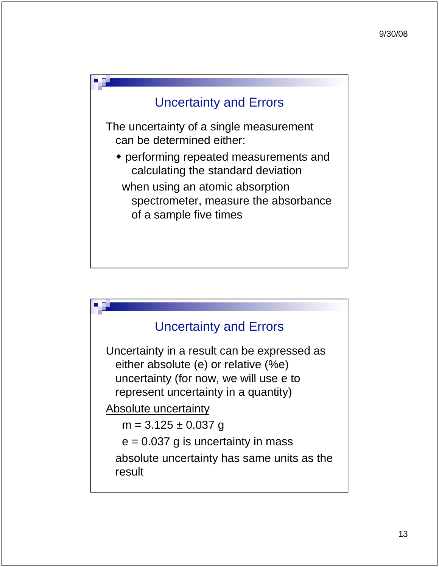The uncertainty of a single measurement can be determined either:

 performing repeated measurements and calculating the standard deviation

 when using an atomic absorption spectrometer, measure the absorbance of a sample five times

#### Uncertainty and Errors

Uncertainty in a result can be expressed as either absolute (e) or relative (%e) uncertainty (for now, we will use e to represent uncertainty in a quantity)

Absolute uncertainty

 $m = 3.125 \pm 0.037$  g

 $e = 0.037$  g is uncertainty in mass

 absolute uncertainty has same units as the result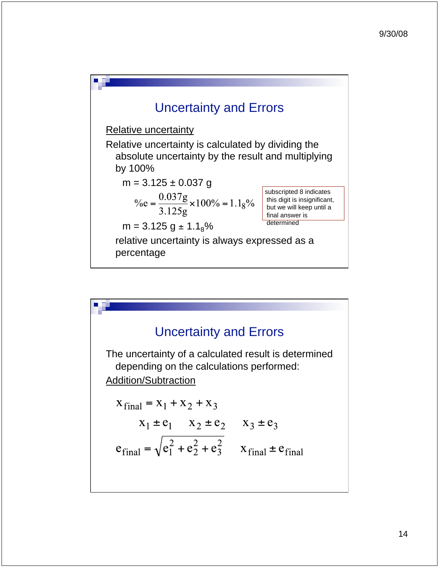

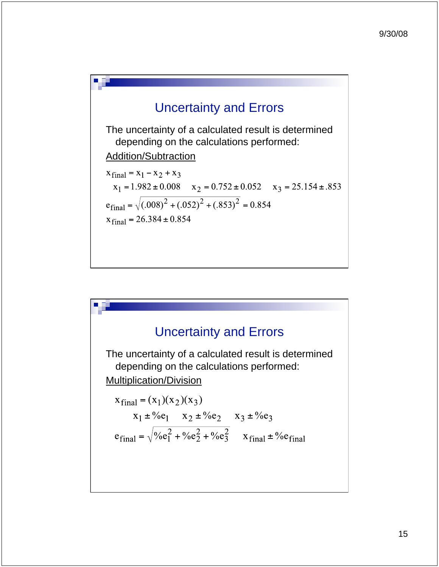

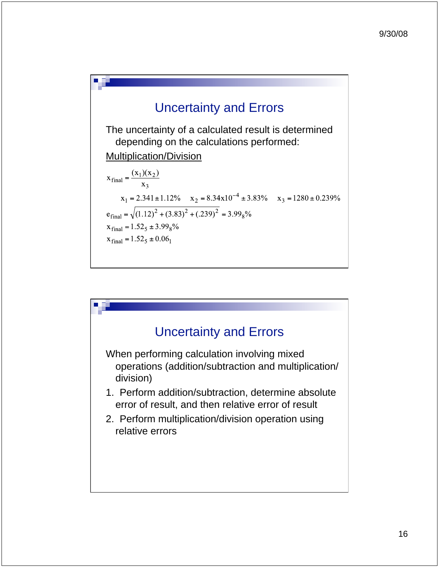

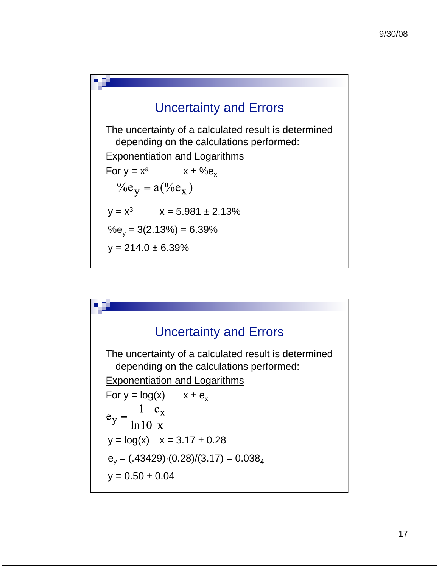The uncertainty of a calculated result is determined depending on the calculations performed:

Exponentiation and Logarithms

For 
$$
y = x^a
$$
  $x \pm %e_x$   
\n $%e_y = a(^{0}/e_x)$   
\n $y = x^3$   $x = 5.981 \pm 2.13%$   
\n $%e_y = 3(2.13%) = 6.39%$   
\n $y = 214.0 \pm 6.39%$